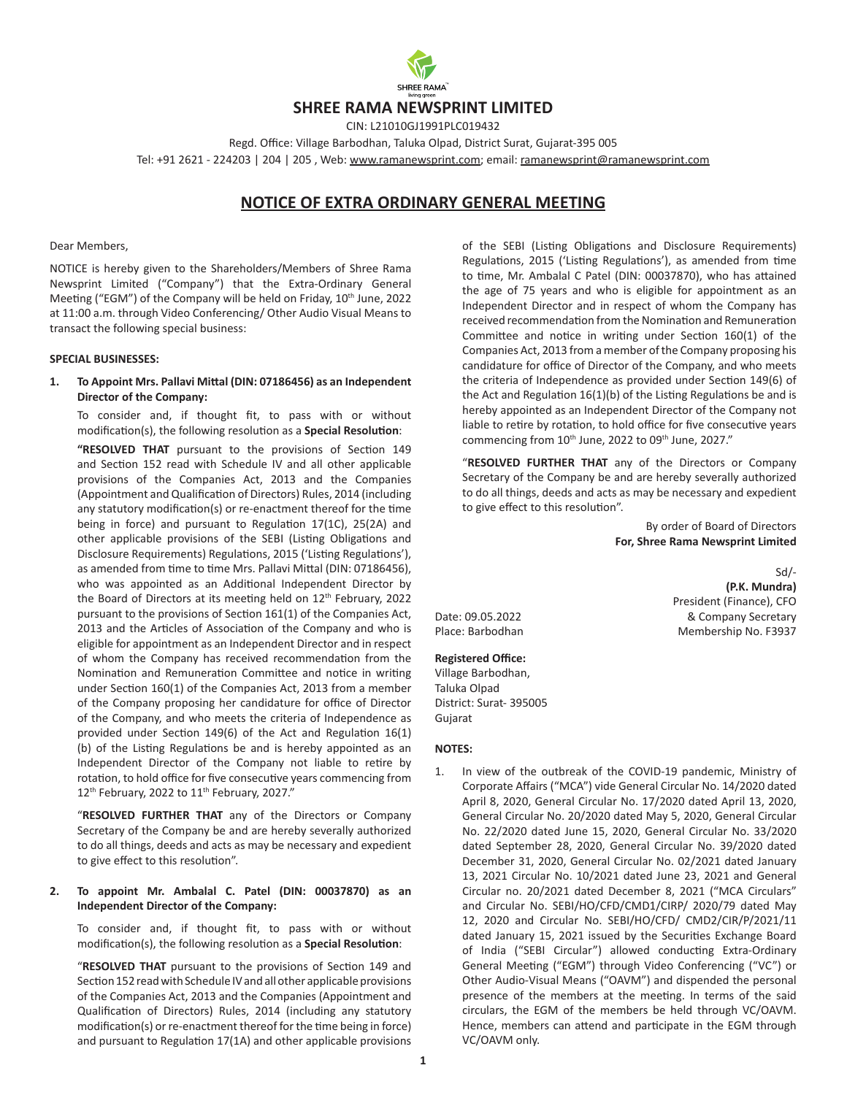

# **SHREE RAMA NEWSPRINT LIMITED**

CIN: L21010GJ1991PLC019432 Regd. Office: Village Barbodhan, Taluka Olpad, District Surat, Gujarat-395 005 Tel: +91 2621 - 224203 | 204 | 205, Web: [www.ramanewsprint.com](http://www.ramanewsprint.com); email: ramanewsprint@ramanewsprint.com

# **NOTICE OF EXTRA ORDINARY GENERAL MEETING**

#### Dear Members,

NOTICE is hereby given to the Shareholders/Members of Shree Rama Newsprint Limited ("Company") that the Extra-Ordinary General Meeting ("EGM") of the Company will be held on Friday, 10<sup>th</sup> June, 2022 at 11:00 a.m. through Video Conferencing/ Other Audio Visual Means to transact the following special business:

#### **SPECIAL BUSINESSES:**

#### **1. To Appoint Mrs. Pallavi Mittal (DIN: 07186456) as an Independent Director of the Company:**

To consider and, if thought fit, to pass with or without modification(s), the following resolution as a **Special Resolution**:

**"RESOLVED THAT** pursuant to the provisions of Section 149 and Section 152 read with Schedule IV and all other applicable provisions of the Companies Act, 2013 and the Companies (Appointment and Qualification of Directors) Rules, 2014 (including any statutory modification(s) or re-enactment thereof for the time being in force) and pursuant to Regulation 17(1C), 25(2A) and other applicable provisions of the SEBI (Listing Obligations and Disclosure Requirements) Regulations, 2015 ('Listing Regulations'), as amended from time to time Mrs. Pallavi Mittal (DIN: 07186456), who was appointed as an Additional Independent Director by the Board of Directors at its meeting held on 12<sup>th</sup> February, 2022 pursuant to the provisions of Section 161(1) of the Companies Act, 2013 and the Articles of Association of the Company and who is eligible for appointment as an Independent Director and in respect of whom the Company has received recommendation from the Nomination and Remuneration Committee and notice in writing under Section 160(1) of the Companies Act, 2013 from a member of the Company proposing her candidature for office of Director of the Company, and who meets the criteria of Independence as provided under Section 149(6) of the Act and Regulation 16(1) (b) of the Listing Regulations be and is hereby appointed as an Independent Director of the Company not liable to retire by rotation, to hold office for five consecutive years commencing from 12<sup>th</sup> February, 2022 to 11<sup>th</sup> February, 2027."

"**RESOLVED FURTHER THAT** any of the Directors or Company Secretary of the Company be and are hereby severally authorized to do all things, deeds and acts as may be necessary and expedient to give effect to this resolution".

### **2. To appoint Mr. Ambalal C. Patel (DIN: 00037870) as an Independent Director of the Company:**

To consider and, if thought fit, to pass with or without modification(s), the following resolution as a **Special Resolution**:

"**RESOLVED THAT** pursuant to the provisions of Section 149 and Section 152 read with Schedule IV and all other applicable provisions of the Companies Act, 2013 and the Companies (Appointment and Qualification of Directors) Rules, 2014 (including any statutory modification(s) or re-enactment thereof for the time being in force) and pursuant to Regulation 17(1A) and other applicable provisions

of the SEBI (Listing Obligations and Disclosure Requirements) Regulations, 2015 ('Listing Regulations'), as amended from time to time, Mr. Ambalal C Patel (DIN: 00037870), who has attained the age of 75 years and who is eligible for appointment as an Independent Director and in respect of whom the Company has received recommendation from the Nomination and Remuneration Committee and notice in writing under Section 160(1) of the Companies Act, 2013 from a member of the Company proposing his candidature for office of Director of the Company, and who meets the criteria of Independence as provided under Section 149(6) of the Act and Regulation 16(1)(b) of the Listing Regulations be and is hereby appointed as an Independent Director of the Company not liable to retire by rotation, to hold office for five consecutive years commencing from 10<sup>th</sup> June, 2022 to 09<sup>th</sup> June, 2027."

"**RESOLVED FURTHER THAT** any of the Directors or Company Secretary of the Company be and are hereby severally authorized to do all things, deeds and acts as may be necessary and expedient to give effect to this resolution".

> By order of Board of Directors **For, Shree Rama Newsprint Limited**

> > Sd/-

**(P.K. Mundra)**

President (Finance), CFO

Date: 09.05.2022 Bate: 09.05.2022 Place: Barbodhan Membership No. F3937

**Registered Office:**  Village Barbodhan, Taluka Olpad District: Surat- 395005 Gujarat

#### **NOTES:**

1. In view of the outbreak of the COVID-19 pandemic, Ministry of Corporate Affairs ("MCA") vide General Circular No. 14/2020 dated April 8, 2020, General Circular No. 17/2020 dated April 13, 2020, General Circular No. 20/2020 dated May 5, 2020, General Circular No. 22/2020 dated June 15, 2020, General Circular No. 33/2020 dated September 28, 2020, General Circular No. 39/2020 dated December 31, 2020, General Circular No. 02/2021 dated January 13, 2021 Circular No. 10/2021 dated June 23, 2021 and General Circular no. 20/2021 dated December 8, 2021 ("MCA Circulars" and Circular No. SEBI/HO/CFD/CMD1/CIRP/ 2020/79 dated May 12, 2020 and Circular No. SEBI/HO/CFD/ CMD2/CIR/P/2021/11 dated January 15, 2021 issued by the Securities Exchange Board of India ("SEBI Circular") allowed conducting Extra-Ordinary General Meeting ("EGM") through Video Conferencing ("VC") or Other Audio-Visual Means ("OAVM") and dispended the personal presence of the members at the meeting. In terms of the said circulars, the EGM of the members be held through VC/OAVM. Hence, members can attend and participate in the EGM through VC/OAVM only.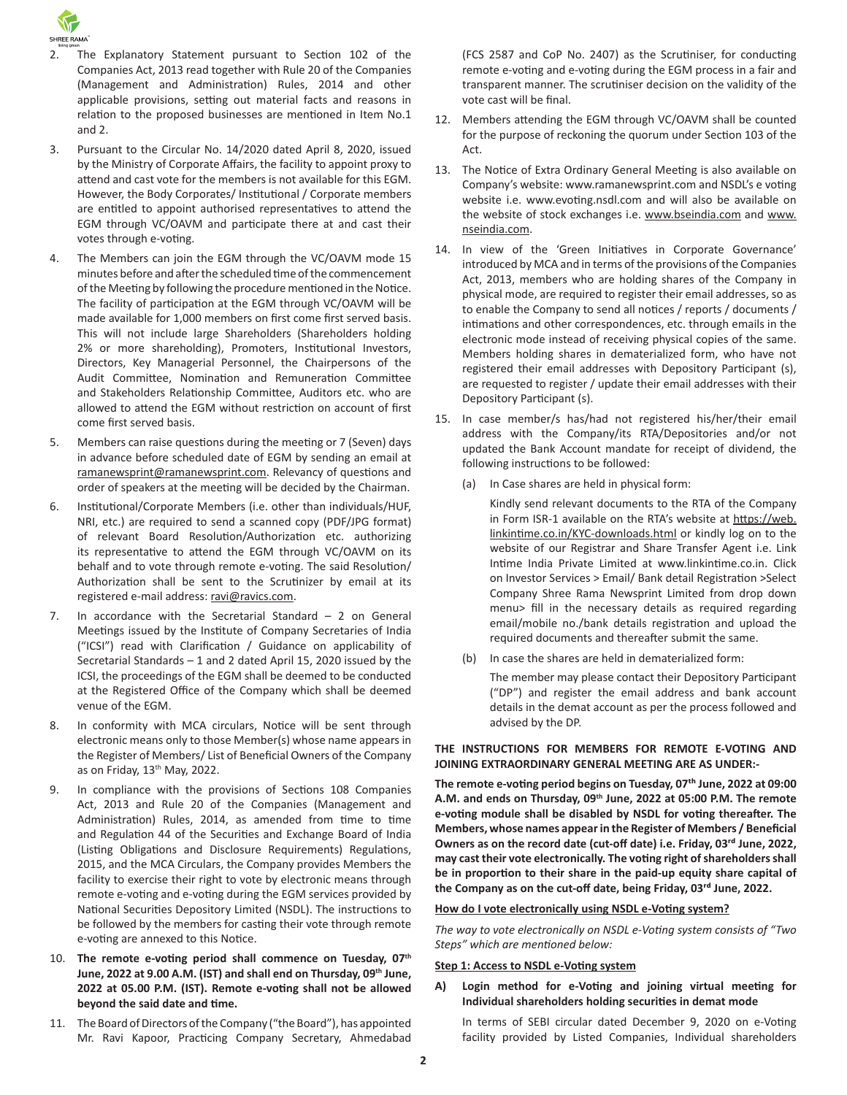

- 2. The Explanatory Statement pursuant to Section 102 of the Companies Act, 2013 read together with Rule 20 of the Companies (Management and Administration) Rules, 2014 and other applicable provisions, setting out material facts and reasons in relation to the proposed businesses are mentioned in Item No.1 and 2.
- 3. Pursuant to the Circular No. 14/2020 dated April 8, 2020, issued by the Ministry of Corporate Affairs, the facility to appoint proxy to attend and cast vote for the members is not available for this EGM. However, the Body Corporates/ Institutional / Corporate members are entitled to appoint authorised representatives to attend the EGM through VC/OAVM and participate there at and cast their votes through e-voting.
- 4. The Members can join the EGM through the VC/OAVM mode 15 minutes before and after the scheduled time of the commencement of the Meeting by following the procedure mentioned in the Notice. The facility of participation at the EGM through VC/OAVM will be made available for 1,000 members on first come first served basis. This will not include large Shareholders (Shareholders holding 2% or more shareholding), Promoters, Institutional Investors, Directors, Key Managerial Personnel, the Chairpersons of the Audit Committee, Nomination and Remuneration Committee and Stakeholders Relationship Committee, Auditors etc. who are allowed to attend the EGM without restriction on account of first come first served basis.
- 5. Members can raise questions during the meeting or 7 (Seven) days in advance before scheduled date of EGM by sending an email at ramanewsprint@ramanewsprint.com. Relevancy of questions and order of speakers at the meeting will be decided by the Chairman.
- 6. Institutional/Corporate Members (i.e. other than individuals/HUF, NRI, etc.) are required to send a scanned copy (PDF/JPG format) of relevant Board Resolution/Authorization etc. authorizing its representative to attend the EGM through VC/OAVM on its behalf and to vote through remote e-voting. The said Resolution/ Authorization shall be sent to the Scrutinizer by email at its registered e-mail address: ravi@ravics.com.
- 7. In accordance with the Secretarial Standard 2 on General Meetings issued by the Institute of Company Secretaries of India ("ICSI") read with Clarification / Guidance on applicability of Secretarial Standards – 1 and 2 dated April 15, 2020 issued by the ICSI, the proceedings of the EGM shall be deemed to be conducted at the Registered Office of the Company which shall be deemed venue of the EGM.
- 8. In conformity with MCA circulars, Notice will be sent through electronic means only to those Member(s) whose name appears in the Register of Members/ List of Beneficial Owners of the Company as on Friday, 13<sup>th</sup> May, 2022.
- 9. In compliance with the provisions of Sections 108 Companies Act, 2013 and Rule 20 of the Companies (Management and Administration) Rules, 2014, as amended from time to time and Regulation 44 of the Securities and Exchange Board of India (Listing Obligations and Disclosure Requirements) Regulations, 2015, and the MCA Circulars, the Company provides Members the facility to exercise their right to vote by electronic means through remote e-voting and e-voting during the EGM services provided by National Securities Depository Limited (NSDL). The instructions to be followed by the members for casting their vote through remote e-voting are annexed to this Notice.
- 10. **The remote e-voting period shall commence on Tuesday, 07th June, 2022 at 9.00 A.M. (IST) and shall end on Thursday, 09th June, 2022 at 05.00 P.M. (IST). Remote e-voting shall not be allowed beyond the said date and time.**
- 11. The Board of Directors of the Company ("the Board"), has appointed Mr. Ravi Kapoor, Practicing Company Secretary, Ahmedabad

(FCS 2587 and CoP No. 2407) as the Scrutiniser, for conducting remote e-voting and e-voting during the EGM process in a fair and transparent manner. The scrutiniser decision on the validity of the vote cast will be final.

- 12. Members attending the EGM through VC/OAVM shall be counted for the purpose of reckoning the quorum under Section 103 of the Act.
- 13. The Notice of Extra Ordinary General Meeting is also available on Company's website: www.ramanewsprint.com and NSDL's e voting website i.e. www.evoting.nsdl.com and will also be available on the website of stock exchanges i.e. www.bseindia.com and www. nseindia.com.
- 14. In view of the 'Green Initiatives in Corporate Governance' introduced by MCA and in terms of the provisions of the Companies Act, 2013, members who are holding shares of the Company in physical mode, are required to register their email addresses, so as to enable the Company to send all notices / reports / documents / intimations and other correspondences, etc. through emails in the electronic mode instead of receiving physical copies of the same. Members holding shares in dematerialized form, who have not registered their email addresses with Depository Participant (s), are requested to register / update their email addresses with their Depository Participant (s).
- 15. In case member/s has/had not registered his/her/their email address with the Company/its RTA/Depositories and/or not updated the Bank Account mandate for receipt of dividend, the following instructions to be followed:
	- (a) In Case shares are held in physical form:

Kindly send relevant documents to the RTA of the Company in Form ISR-1 available on the RTA's website at https://web. linkintime.co.in/KYC-downloads.html or kindly log on to the website of our Registrar and Share Transfer Agent i.e. Link Intime India Private Limited at www.linkintime.co.in. Click on Investor Services > Email/ Bank detail Registration >Select Company Shree Rama Newsprint Limited from drop down menu> fill in the necessary details as required regarding email/mobile no./bank details registration and upload the required documents and thereafter submit the same.

(b) In case the shares are held in dematerialized form:

The member may please contact their Depository Participant ("DP") and register the email address and bank account details in the demat account as per the process followed and advised by the DP.

### **THE INSTRUCTIONS FOR MEMBERS FOR REMOTE E-VOTING AND JOINING EXTRAORDINARY GENERAL MEETING ARE AS UNDER:-**

**The remote e-voting period begins on Tuesday, 07th June, 2022 at 09:00 A.M. and ends on Thursday, 09th June, 2022 at 05:00 P.M. The remote e-voting module shall be disabled by NSDL for voting thereafter. The Members, whose names appearin the Register of Members / Beneficial Owners as on the record date (cut-off date) i.e. Friday, 03rd June, 2022, may cast their vote electronically. The voting right ofshareholdersshall be in proportion to their share in the paid-up equity share capital of the Company as on the cut-off date, being Friday, 03rd June, 2022.**

#### **How do I vote electronically using NSDL e-Voting system?**

*The way to vote electronically on NSDL e-Voting system consists of "Two Steps" which are mentioned below:*

#### **Step 1: Access to NSDL e-Voting system**

**A) Login method for e-Voting and joining virtual meeting for Individual shareholders holding securities in demat mode**

In terms of SEBI circular dated December 9, 2020 on e-Voting facility provided by Listed Companies, Individual shareholders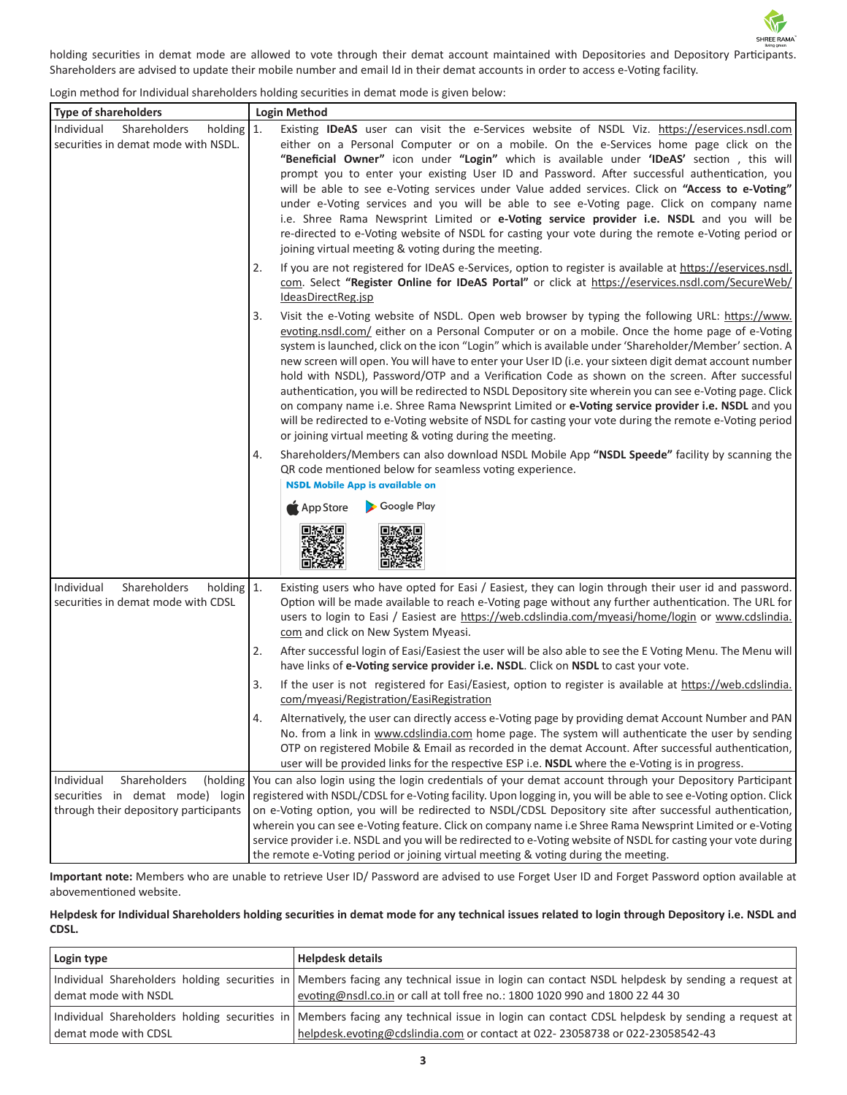SHREE RAMA holding securities in demat mode are allowed to vote through their demat account maintained with Depositories and Depository Participants. Shareholders are advised to update their mobile number and email Id in their demat accounts in order to access e-Voting facility.

 $\mathcal{W}$ 

Login method for Individual shareholders holding securities in demat mode is given below:

| <b>Type of shareholders</b>                                                                                        | <b>Login Method</b>                                                                                                                                                                                                                                                                                                                                                                                                                                                                                                                                                                                                                                                                                                                                                                                                                                                                                               |
|--------------------------------------------------------------------------------------------------------------------|-------------------------------------------------------------------------------------------------------------------------------------------------------------------------------------------------------------------------------------------------------------------------------------------------------------------------------------------------------------------------------------------------------------------------------------------------------------------------------------------------------------------------------------------------------------------------------------------------------------------------------------------------------------------------------------------------------------------------------------------------------------------------------------------------------------------------------------------------------------------------------------------------------------------|
| Individual<br>Shareholders<br>holding $1$ .<br>securities in demat mode with NSDL.                                 | Existing IDeAS user can visit the e-Services website of NSDL Viz. https://eservices.nsdl.com<br>either on a Personal Computer or on a mobile. On the e-Services home page click on the<br>"Beneficial Owner" icon under "Login" which is available under 'IDeAS' section, this will<br>prompt you to enter your existing User ID and Password. After successful authentication, you<br>will be able to see e-Voting services under Value added services. Click on "Access to e-Voting"<br>under e-Voting services and you will be able to see e-Voting page. Click on company name<br>i.e. Shree Rama Newsprint Limited or e-Voting service provider i.e. NSDL and you will be<br>re-directed to e-Voting website of NSDL for casting your vote during the remote e-Voting period or<br>joining virtual meeting & voting during the meeting.                                                                      |
|                                                                                                                    | If you are not registered for IDeAS e-Services, option to register is available at https://eservices.nsdl.<br>2.<br>com. Select "Register Online for IDeAS Portal" or click at https://eservices.nsdl.com/SecureWeb/<br>IdeasDirectReg.jsp                                                                                                                                                                                                                                                                                                                                                                                                                                                                                                                                                                                                                                                                        |
|                                                                                                                    | Visit the e-Voting website of NSDL. Open web browser by typing the following URL: https://www.<br>3.<br>evoting.nsdl.com/ either on a Personal Computer or on a mobile. Once the home page of e-Voting<br>system is launched, click on the icon "Login" which is available under 'Shareholder/Member' section. A<br>new screen will open. You will have to enter your User ID (i.e. your sixteen digit demat account number<br>hold with NSDL), Password/OTP and a Verification Code as shown on the screen. After successful<br>authentication, you will be redirected to NSDL Depository site wherein you can see e-Voting page. Click<br>on company name i.e. Shree Rama Newsprint Limited or e-Voting service provider i.e. NSDL and you<br>will be redirected to e-Voting website of NSDL for casting your vote during the remote e-Voting period<br>or joining virtual meeting & voting during the meeting. |
|                                                                                                                    | Shareholders/Members can also download NSDL Mobile App "NSDL Speede" facility by scanning the<br>4.<br>QR code mentioned below for seamless voting experience.<br><b>NSDL Mobile App is available on</b>                                                                                                                                                                                                                                                                                                                                                                                                                                                                                                                                                                                                                                                                                                          |
|                                                                                                                    | Google Play<br>App Store                                                                                                                                                                                                                                                                                                                                                                                                                                                                                                                                                                                                                                                                                                                                                                                                                                                                                          |
| Shareholders<br>Individual<br>holding $1$ .<br>securities in demat mode with CDSL                                  | Existing users who have opted for Easi / Easiest, they can login through their user id and password.<br>Option will be made available to reach e-Voting page without any further authentication. The URL for<br>users to login to Easi / Easiest are https://web.cdslindia.com/myeasi/home/login or www.cdslindia.<br>com and click on New System Myeasi.                                                                                                                                                                                                                                                                                                                                                                                                                                                                                                                                                         |
|                                                                                                                    | After successful login of Easi/Easiest the user will be also able to see the E Voting Menu. The Menu will<br>2.<br>have links of e-Voting service provider i.e. NSDL. Click on NSDL to cast your vote.                                                                                                                                                                                                                                                                                                                                                                                                                                                                                                                                                                                                                                                                                                            |
|                                                                                                                    | 3.<br>If the user is not registered for Easi/Easiest, option to register is available at https://web.cdslindia.<br>com/myeasi/Registration/EasiRegistration                                                                                                                                                                                                                                                                                                                                                                                                                                                                                                                                                                                                                                                                                                                                                       |
|                                                                                                                    | Alternatively, the user can directly access e-Voting page by providing demat Account Number and PAN<br>No. from a link in www.cdslindia.com home page. The system will authenticate the user by sending<br>OTP on registered Mobile & Email as recorded in the demat Account. After successful authentication,<br>user will be provided links for the respective ESP i.e. NSDL where the e-Voting is in progress.                                                                                                                                                                                                                                                                                                                                                                                                                                                                                                 |
| Shareholders<br>Individual<br>(holding<br>securities in demat mode) login<br>through their depository participants | You can also login using the login credentials of your demat account through your Depository Participant<br>registered with NSDL/CDSL for e-Voting facility. Upon logging in, you will be able to see e-Voting option. Click<br>on e-Voting option, you will be redirected to NSDL/CDSL Depository site after successful authentication,<br>wherein you can see e-Voting feature. Click on company name i.e Shree Rama Newsprint Limited or e-Voting<br>service provider i.e. NSDL and you will be redirected to e-Voting website of NSDL for casting your vote during<br>the remote e-Voting period or joining virtual meeting & voting during the meeting.                                                                                                                                                                                                                                                      |

**Important note:** Members who are unable to retrieve User ID/ Password are advised to use Forget User ID and Forget Password option available at abovementioned website.

# Helpdesk for Individual Shareholders holding securities in demat mode for any technical issues related to login through Depository i.e. NSDL and **CDSL.**

| Login type           | <b>Helpdesk details</b>                                                                                                                                                                                                     |
|----------------------|-----------------------------------------------------------------------------------------------------------------------------------------------------------------------------------------------------------------------------|
| demat mode with NSDL | Individual Shareholders holding securities in Members facing any technical issue in login can contact NSDL helpdesk by sending a request at<br>evoting@nsdl.co.in or call at toll free no.: 1800 1020 990 and 1800 22 44 30 |
| demat mode with CDSL | Individual Shareholders holding securities in Members facing any technical issue in login can contact CDSL helpdesk by sending a request at<br>helpdesk.evoting@cdslindia.com or contact at 022-23058738 or 022-23058542-43 |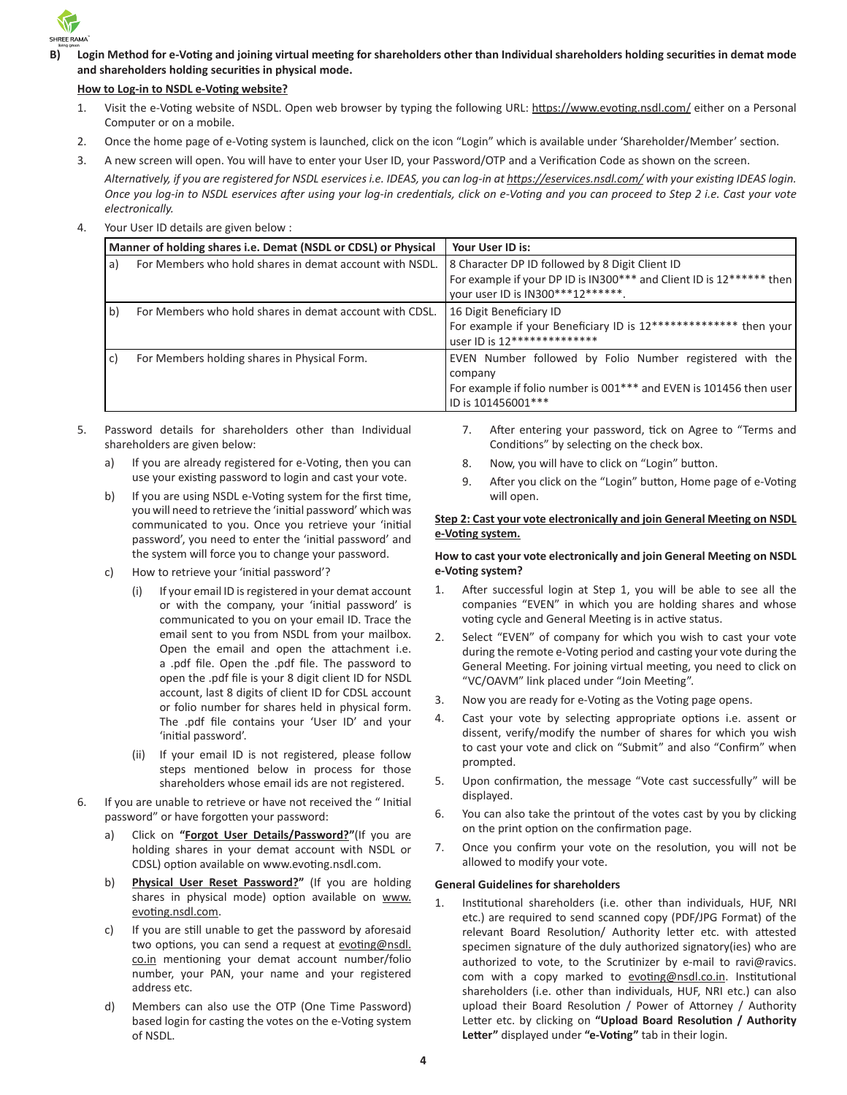

B) Login Method for e-Voting and joining virtual meeting for shareholders other than Individual shareholders holding securities in demat mode **and shareholders holding securities in physical mode.**

### **How to Log-in to NSDL e-Voting website?**

- 1. Visit the e-Voting website of NSDL. Open web browser by typing the following URL: <https://www.evoting.nsdl.com/>either on a Personal Computer or on a mobile.
- 2. Once the home page of e-Voting system is launched, click on the icon "Login" which is available under 'Shareholder/Member' section.
- 3. A new screen will open. You will have to enter your User ID, your Password/OTP and a Verification Code as shown on the screen.

*Alternatively, if you are registered for NSDL eservices i.e. IDEAS, you can log-in at <https://eservices.nsdl.com/> with your existing IDEAS login. Once you log-in to NSDL eservices after using your log-in credentials, click on e-Voting and you can proceed to Step 2 i.e. Cast your vote electronically.*

4. Your User ID details are given below :

| Manner of holding shares i.e. Demat (NSDL or CDSL) or Physical |                                                         | Your User ID is:                                                                                                                                                |
|----------------------------------------------------------------|---------------------------------------------------------|-----------------------------------------------------------------------------------------------------------------------------------------------------------------|
| a)                                                             | For Members who hold shares in demat account with NSDL. | 8 Character DP ID followed by 8 Digit Client ID<br>For example if your DP ID is IN300*** and Client ID is 12****** then<br>your user ID is IN300***12******.    |
| b)                                                             | For Members who hold shares in demat account with CDSL. | 16 Digit Beneficiary ID<br>For example if your Beneficiary ID is 12************** then your<br>USer ID is 12***************                                     |
| C)                                                             | For Members holding shares in Physical Form.            | EVEN Number followed by Folio Number registered with the<br>company<br>For example if folio number is 001*** and EVEN is 101456 then user<br>ID is 101456001*** |

- 5. Password details for shareholders other than Individual shareholders are given below:
	- a) If you are already registered for e-Voting, then you can use your existing password to login and cast your vote.
	- b) If you are using NSDL e-Voting system for the first time, you will need to retrieve the 'initial password' which was communicated to you. Once you retrieve your 'initial password', you need to enter the 'initial password' and the system will force you to change your password.
	- c) How to retrieve your 'initial password'?
		- (i) If your email ID is registered in your demat account or with the company, your 'initial password' is communicated to you on your email ID. Trace the email sent to you from NSDL from your mailbox. Open the email and open the attachment i.e. a .pdf file. Open the .pdf file. The password to open the .pdf file is your 8 digit client ID for NSDL account, last 8 digits of client ID for CDSL account or folio number for shares held in physical form. The .pdf file contains your 'User ID' and your 'initial password'.
		- (ii) If your email ID is not registered, please follow steps mentioned below in process for those shareholders whose email ids are not registered.
- 6. If you are unable to retrieve or have not received the " Initial password" or have forgotten your password:
	- a) Click on **"Forgot User [Details/Password?"](https://www.evoting.nsdl.com/eVotingWeb/commonhtmls/NewUser.jsp)**(If you are holding shares in your demat account with NSDL or CDSL) option available on www.evoting.nsdl.com.
	- b) **Physical User Reset [Password?](https://www.evoting.nsdl.com/eVotingWeb/commonhtmls/PhysicalUser.jsp)"** (If you are holding shares in physical mode) option available on [www.](http://www.evoting.nsdl.com) [evoting.nsdl.com.](http://www.evoting.nsdl.com)
	- c) If you are still unable to get the password by aforesaid two options, you can send a request at [evoting@nsdl.](mailto:evoting@nsdl.co.in) [co.in](mailto:evoting@nsdl.co.in) mentioning your demat account number/folio number, your PAN, your name and your registered address etc.
	- d) Members can also use the OTP (One Time Password) based login for casting the votes on the e-Voting system of NSDL.
- 7. After entering your password, tick on Agree to "Terms and Conditions" by selecting on the check box.
- 8. Now, you will have to click on "Login" button.
- 9. After you click on the "Login" button, Home page of e-Voting will open.

# **Step 2: Cast your vote electronically and join General Meeting on NSDL e-Voting system.**

### **How to cast your vote electronically and join General Meeting on NSDL e-Voting system?**

- 1. After successful login at Step 1, you will be able to see all the companies "EVEN" in which you are holding shares and whose voting cycle and General Meeting is in active status.
- 2. Select "EVEN" of company for which you wish to cast your vote during the remote e-Voting period and casting your vote during the General Meeting. For joining virtual meeting, you need to click on "VC/OAVM" link placed under "Join Meeting".
- 3. Now you are ready for e-Voting as the Voting page opens.
- 4. Cast your vote by selecting appropriate options i.e. assent or dissent, verify/modify the number of shares for which you wish to cast your vote and click on "Submit" and also "Confirm" when prompted.
- 5. Upon confirmation, the message "Vote cast successfully" will be displayed.
- 6. You can also take the printout of the votes cast by you by clicking on the print option on the confirmation page.
- 7. Once you confirm your vote on the resolution, you will not be allowed to modify your vote.

# **General Guidelines for shareholders**

1. Institutional shareholders (i.e. other than individuals, HUF, NRI etc.) are required to send scanned copy (PDF/JPG Format) of the relevant Board Resolution/ Authority letter etc. with attested specimen signature of the duly authorized signatory(ies) who are authorized to vote, to the Scrutinizer by e-mail to ravi@ravics. com with a copy marked to [evoting@nsdl.co.in](mailto:evoting@nsdl.co.in). Institutional shareholders (i.e. other than individuals, HUF, NRI etc.) can also upload their Board Resolution / Power of Attorney / Authority Letter etc. by clicking on **"Upload Board Resolution / Authority Letter"** displayed under **"e-Voting"** tab in their login.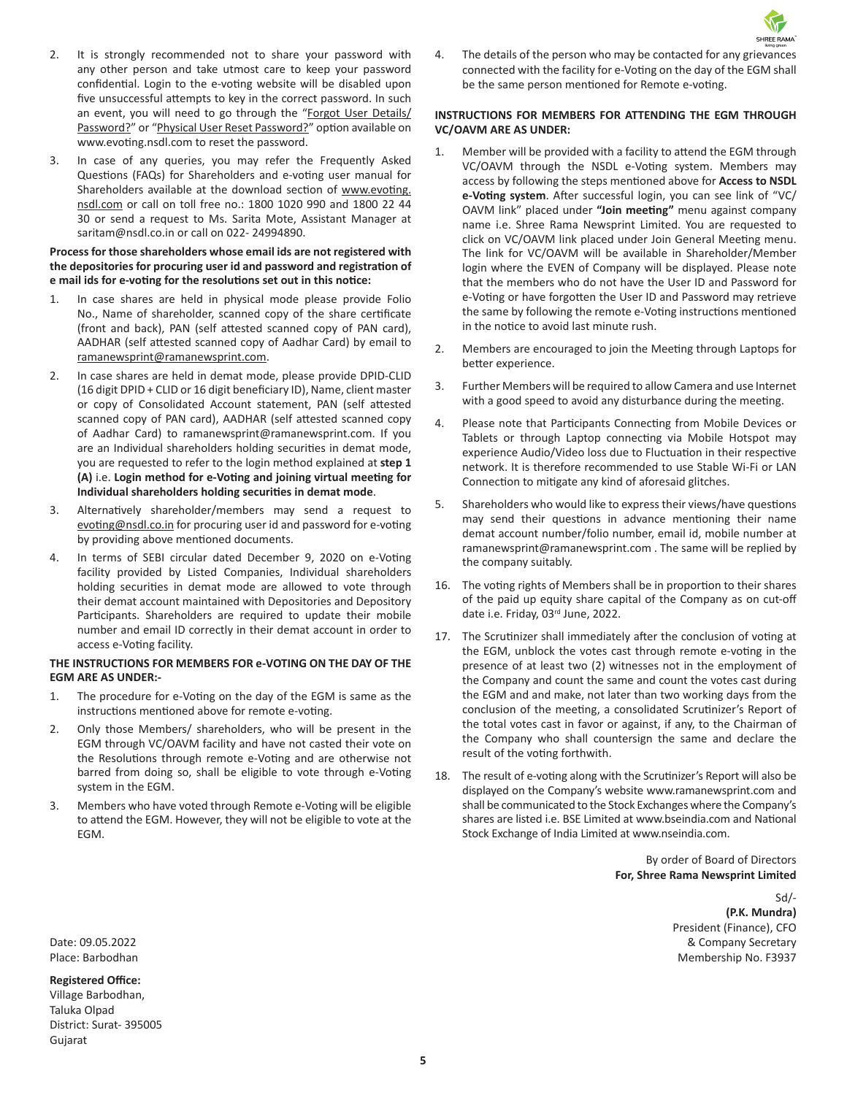- 2. It is strongly recommended not to share your password with any other person and take utmost care to keep your password confidential. Login to the e-voting website will be disabled upon five unsuccessful attempts to key in the correct password. In such an event, you will need to go through the "[Forgot User Details/](https://www.evoting.nsdl.com/eVotingWeb/commonhtmls/NewUser.jsp) [Password?](https://www.evoting.nsdl.com/eVotingWeb/commonhtmls/NewUser.jsp)" or "[Physical User Reset Password?](https://www.evoting.nsdl.com/eVotingWeb/commonhtmls/PhysicalUser.jsp)" option available on www.evoting.nsdl.com to reset the password.
- 3. In case of any queries, you may refer the Frequently Asked Questions (FAQs) for Shareholders and e-voting user manual for Shareholders available at the download section of [www.evoting.](http://www.evoting.nsdl.com) [nsdl.com](http://www.evoting.nsdl.com) or call on toll free no.: 1800 1020 990 and 1800 22 44 30 or send a request to Ms. Sarita Mote, Assistant Manager at saritam@nsdl.co.in or call on 022- 24994890.

### **Process for those shareholders whose email ids are not registered with the depositories for procuring user id and password and registration of e mail ids for e-voting for the resolutions set out in this notice:**

- 1. In case shares are held in physical mode please provide Folio No., Name of shareholder, scanned copy of the share certificate (front and back), PAN (self attested scanned copy of PAN card), AADHAR (self attested scanned copy of Aadhar Card) by email to [ramanewsprint@ramanewsprint.com.](mailto:ramanewsprint@ramanewsprint.com)
- 2. In case shares are held in demat mode, please provide DPID-CLID (16 digit DPID + CLID or 16 digit beneficiary ID), Name, client master or copy of Consolidated Account statement, PAN (self attested scanned copy of PAN card), AADHAR (self attested scanned copy of Aadhar Card) to ramanewsprint@ramanewsprint.com. If you are an Individual shareholders holding securities in demat mode, you are requested to refer to the login method explained at **step 1 (A)** i.e. **Login method for e-Voting and joining virtual meeting for Individual shareholders holding securities in demat mode**.
- 3. Alternatively shareholder/members may send a request to [evoting@nsdl.co.in](mailto:evoting@nsdl.co.in) for procuring user id and password for e-voting by providing above mentioned documents.
- 4. In terms of SEBI circular dated December 9, 2020 on e-Voting facility provided by Listed Companies, Individual shareholders holding securities in demat mode are allowed to vote through their demat account maintained with Depositories and Depository Participants. Shareholders are required to update their mobile number and email ID correctly in their demat account in order to access e-Voting facility.

### **THE INSTRUCTIONS FOR MEMBERS FOR e-VOTING ON THE DAY OF THE EGM ARE AS UNDER:-**

- 1. The procedure for e-Voting on the day of the EGM is same as the instructions mentioned above for remote e-voting.
- 2. Only those Members/ shareholders, who will be present in the EGM through VC/OAVM facility and have not casted their vote on the Resolutions through remote e-Voting and are otherwise not barred from doing so, shall be eligible to vote through e-Voting system in the EGM.
- 3. Members who have voted through Remote e-Voting will be eligible to attend the EGM. However, they will not be eligible to vote at the EGM.

SHREE RAMA 4. The details of the person who may be contacted for any grievances connected with the facility for e-Voting on the day of the EGM shall be the same person mentioned for Remote e-voting.

# **INSTRUCTIONS FOR MEMBERS FOR ATTENDING THE EGM THROUGH VC/OAVM ARE AS UNDER:**

- 1. Member will be provided with a facility to attend the EGM through VC/OAVM through the NSDL e-Voting system. Members may access by following the steps mentioned above for **Access to NSDL e-Voting system**. After successful login, you can see link of "VC/ OAVM link" placed under **"Join meeting"** menu against company name i.e. Shree Rama Newsprint Limited. You are requested to click on VC/OAVM link placed under Join General Meeting menu. The link for VC/OAVM will be available in Shareholder/Member login where the EVEN of Company will be displayed. Please note that the members who do not have the User ID and Password for e-Voting or have forgotten the User ID and Password may retrieve the same by following the remote e-Voting instructions mentioned in the notice to avoid last minute rush.
- 2. Members are encouraged to join the Meeting through Laptops for better experience.
- 3. Further Members will be required to allow Camera and use Internet with a good speed to avoid any disturbance during the meeting.
- 4. Please note that Participants Connecting from Mobile Devices or Tablets or through Laptop connecting via Mobile Hotspot may experience Audio/Video loss due to Fluctuation in their respective network. It is therefore recommended to use Stable Wi-Fi or LAN Connection to mitigate any kind of aforesaid glitches.
- 5. Shareholders who would like to express their views/have questions may send their questions in advance mentioning their name demat account number/folio number, email id, mobile number at ramanewsprint@ramanewsprint.com . The same will be replied by the company suitably.
- 16. The voting rights of Members shall be in proportion to their shares of the paid up equity share capital of the Company as on cut-off date i.e. Friday, 03rd June, 2022.
- 17. The Scrutinizer shall immediately after the conclusion of voting at the EGM, unblock the votes cast through remote e-voting in the presence of at least two (2) witnesses not in the employment of the Company and count the same and count the votes cast during the EGM and and make, not later than two working days from the conclusion of the meeting, a consolidated Scrutinizer's Report of the total votes cast in favor or against, if any, to the Chairman of the Company who shall countersign the same and declare the result of the voting forthwith.
- 18. The result of e-voting along with the Scrutinizer's Report will also be displayed on the Company's website [www.ramanewsprint.com](http://www.ramanewsprint.com) and shall be communicated to the Stock Exchanges where the Company's shares are listed i.e. BSE Limited at [www.bseindia.com](http://www.bseindia.com) and National Stock Exchange of India Limited at [www.nseindia.com.](http://www.nseindia.com)

By order of Board of Directors **For, Shree Rama Newsprint Limited**

Sd/- **(P.K. Mundra)** President (Finance), CFO Date: 09.05.2022 & Company Secretary Place: Barbodhan Membership No. F3937

# **Registered Office:**

Village Barbodhan, Taluka Olpad District: Surat- 395005 Gujarat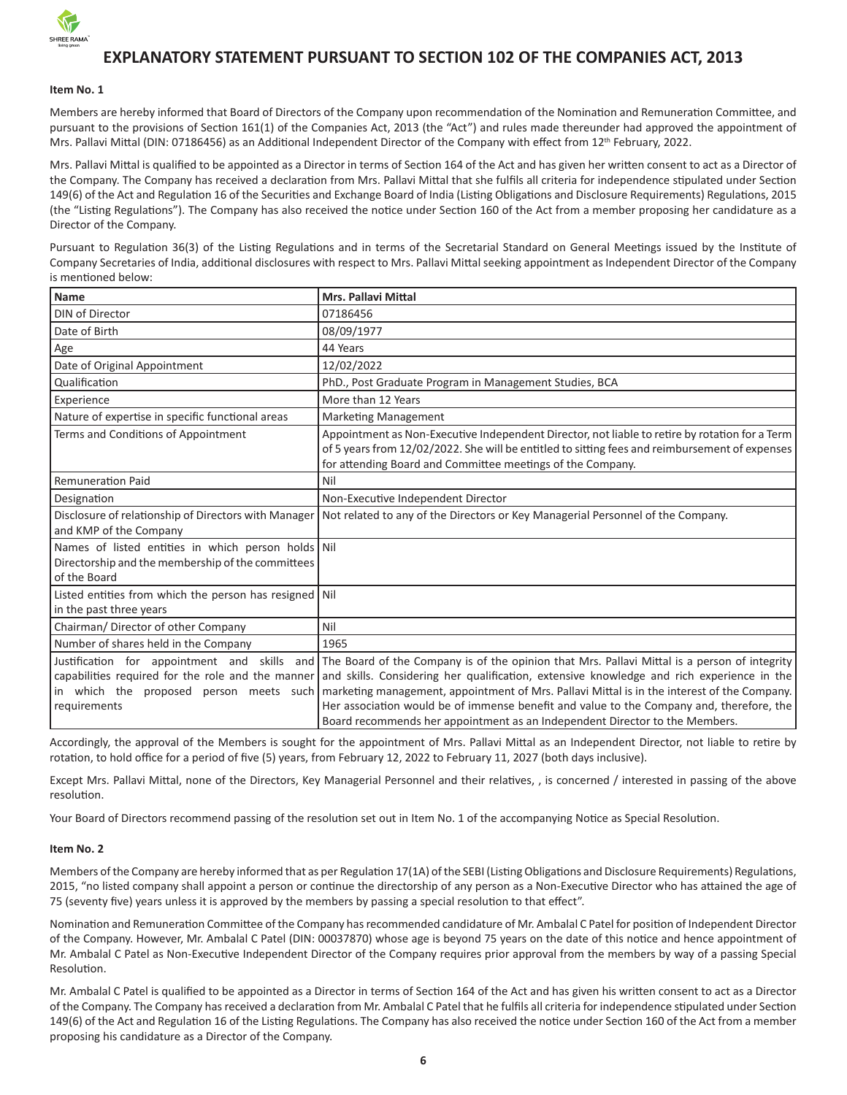

# **EXPLANATORY STATEMENT PURSUANT TO SECTION 102 OF THE COMPANIES ACT, 2013**

#### **Item No. 1**

Members are hereby informed that Board of Directors of the Company upon recommendation of the Nomination and Remuneration Committee, and pursuant to the provisions of Section 161(1) of the Companies Act, 2013 (the "Act") and rules made thereunder had approved the appointment of Mrs. Pallavi Mittal (DIN: 07186456) as an Additional Independent Director of the Company with effect from 12<sup>th</sup> February, 2022.

Mrs. Pallavi Mittal is qualified to be appointed as a Director in terms of Section 164 of the Act and has given her written consent to act as a Director of the Company. The Company has received a declaration from Mrs. Pallavi Mittal that she fulfils all criteria for independence stipulated under Section 149(6) of the Act and Regulation 16 of the Securities and Exchange Board of India (Listing Obligations and Disclosure Requirements) Regulations, 2015 (the "Listing Regulations"). The Company has also received the notice under Section 160 of the Act from a member proposing her candidature as a Director of the Company.

Pursuant to Regulation 36(3) of the Listing Regulations and in terms of the Secretarial Standard on General Meetings issued by the Institute of Company Secretaries of India, additional disclosures with respect to Mrs. Pallavi Mittal seeking appointment as Independent Director of the Company is mentioned below:

| Name                                                                                                                    | <b>Mrs. Pallavi Mittal</b>                                                                                                                                                                                                                                                                                                                                                                                                                                                                                                                                                                                 |
|-------------------------------------------------------------------------------------------------------------------------|------------------------------------------------------------------------------------------------------------------------------------------------------------------------------------------------------------------------------------------------------------------------------------------------------------------------------------------------------------------------------------------------------------------------------------------------------------------------------------------------------------------------------------------------------------------------------------------------------------|
| DIN of Director                                                                                                         | 07186456                                                                                                                                                                                                                                                                                                                                                                                                                                                                                                                                                                                                   |
| Date of Birth                                                                                                           | 08/09/1977                                                                                                                                                                                                                                                                                                                                                                                                                                                                                                                                                                                                 |
| Age                                                                                                                     | 44 Years                                                                                                                                                                                                                                                                                                                                                                                                                                                                                                                                                                                                   |
| Date of Original Appointment                                                                                            | 12/02/2022                                                                                                                                                                                                                                                                                                                                                                                                                                                                                                                                                                                                 |
| Qualification                                                                                                           | PhD., Post Graduate Program in Management Studies, BCA                                                                                                                                                                                                                                                                                                                                                                                                                                                                                                                                                     |
| Experience                                                                                                              | More than 12 Years                                                                                                                                                                                                                                                                                                                                                                                                                                                                                                                                                                                         |
| Nature of expertise in specific functional areas                                                                        | <b>Marketing Management</b>                                                                                                                                                                                                                                                                                                                                                                                                                                                                                                                                                                                |
| Terms and Conditions of Appointment                                                                                     | Appointment as Non-Executive Independent Director, not liable to retire by rotation for a Term<br>of 5 years from 12/02/2022. She will be entitled to sitting fees and reimbursement of expenses<br>for attending Board and Committee meetings of the Company.                                                                                                                                                                                                                                                                                                                                             |
| <b>Remuneration Paid</b>                                                                                                | Nil                                                                                                                                                                                                                                                                                                                                                                                                                                                                                                                                                                                                        |
| Designation                                                                                                             | Non-Executive Independent Director                                                                                                                                                                                                                                                                                                                                                                                                                                                                                                                                                                         |
| Disclosure of relationship of Directors with Manager<br>and KMP of the Company                                          | Not related to any of the Directors or Key Managerial Personnel of the Company.                                                                                                                                                                                                                                                                                                                                                                                                                                                                                                                            |
| Names of listed entities in which person holds Nil<br>Directorship and the membership of the committees<br>of the Board |                                                                                                                                                                                                                                                                                                                                                                                                                                                                                                                                                                                                            |
| Listed entities from which the person has resigned Nil<br>in the past three years                                       |                                                                                                                                                                                                                                                                                                                                                                                                                                                                                                                                                                                                            |
| Chairman/ Director of other Company                                                                                     | Nil                                                                                                                                                                                                                                                                                                                                                                                                                                                                                                                                                                                                        |
| Number of shares held in the Company                                                                                    | 1965                                                                                                                                                                                                                                                                                                                                                                                                                                                                                                                                                                                                       |
| requirements                                                                                                            | Justification for appointment and skills and The Board of the Company is of the opinion that Mrs. Pallavi Mittal is a person of integrity<br>capabilities required for the role and the manner and skills. Considering her qualification, extensive knowledge and rich experience in the<br>in which the proposed person meets such marketing management, appointment of Mrs. Pallavi Mittal is in the interest of the Company.<br>Her association would be of immense benefit and value to the Company and, therefore, the<br>Board recommends her appointment as an Independent Director to the Members. |

Accordingly, the approval of the Members is sought for the appointment of Mrs. Pallavi Mittal as an Independent Director, not liable to retire by rotation, to hold office for a period of five (5) years, from February 12, 2022 to February 11, 2027 (both days inclusive).

Except Mrs. Pallavi Mittal, none of the Directors, Key Managerial Personnel and their relatives, , is concerned / interested in passing of the above resolution.

Your Board of Directors recommend passing of the resolution set out in Item No. 1 of the accompanying Notice as Special Resolution.

#### **Item No. 2**

Members of the Company are hereby informed that as per Regulation 17(1A) of the SEBI (Listing Obligations and Disclosure Requirements) Regulations, 2015, "no listed company shall appoint a person or continue the directorship of any person as a Non-Executive Director who has attained the age of 75 (seventy five) years unless it is approved by the members by passing a special resolution to that effect".

Nomination and Remuneration Committee of the Company has recommended candidature of Mr. Ambalal C Patel for position of Independent Director of the Company. However, Mr. Ambalal C Patel (DIN: 00037870) whose age is beyond 75 years on the date of this notice and hence appointment of Mr. Ambalal C Patel as Non-Executive Independent Director of the Company requires prior approval from the members by way of a passing Special Resolution.

Mr. Ambalal C Patel is qualified to be appointed as a Director in terms of Section 164 of the Act and has given his written consent to act as a Director of the Company. The Company has received a declaration from Mr. Ambalal C Patel that he fulfils all criteria for independence stipulated under Section 149(6) of the Act and Regulation 16 of the Listing Regulations. The Company has also received the notice under Section 160 of the Act from a member proposing his candidature as a Director of the Company.